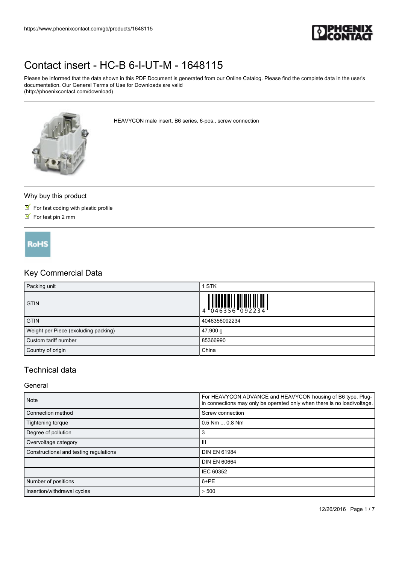

Please be informed that the data shown in this PDF Document is generated from our Online Catalog. Please find the complete data in the user's documentation. Our General Terms of Use for Downloads are valid (http://phoenixcontact.com/download)



HEAVYCON male insert, B6 series, 6-pos., screw connection

#### Why buy this product

- $\blacksquare$  For fast coding with plastic profile
- $\triangleright$  For test pin 2 mm

**RoHS** 

## Key Commercial Data

| Packing unit                         | 1 STK         |
|--------------------------------------|---------------|
| <b>GTIN</b>                          |               |
| <b>GTIN</b>                          | 4046356092234 |
| Weight per Piece (excluding packing) | 47.900 g      |
| Custom tariff number                 | 85366990      |
| Country of origin                    | China         |

## Technical data

#### General

| <b>Note</b>                                  | For HEAVYCON ADVANCE and HEAVYCON housing of B6 type. Plug-<br>in connections may only be operated only when there is no load/voltage. |
|----------------------------------------------|----------------------------------------------------------------------------------------------------------------------------------------|
| Connection method                            | Screw connection                                                                                                                       |
| $0.5$ Nm $\dots$ 0.8 Nm<br>Tightening torque |                                                                                                                                        |
| Degree of pollution                          | 3                                                                                                                                      |
| Overvoltage category                         | Ш                                                                                                                                      |
| Constructional and testing regulations       | <b>DIN EN 61984</b>                                                                                                                    |
|                                              | <b>DIN EN 60664</b>                                                                                                                    |
|                                              | IEC 60352                                                                                                                              |
| Number of positions                          | 6+PE                                                                                                                                   |
| Insertion/withdrawal cycles                  | $\geq 500$                                                                                                                             |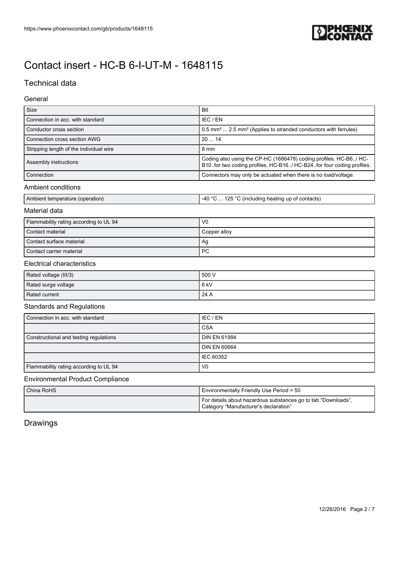

# Technical data

### General

| Size                                    | B <sub>6</sub>                                                                                                                           |  |
|-----------------------------------------|------------------------------------------------------------------------------------------------------------------------------------------|--|
| Connection in acc. with standard        | IEC / EN                                                                                                                                 |  |
| Conductor cross section                 | 0.5 mm <sup>2</sup> 2.5 mm <sup>2</sup> (Applies to stranded conductors with ferrules)                                                   |  |
| Connection cross section AWG            | 2014                                                                                                                                     |  |
| Stripping length of the individual wire | 8 mm                                                                                                                                     |  |
| Assembly instructions                   | Coding also using the CP-HC (1686478) coding profiles. HC-B6/ HC-<br>B10for two coding profiles. HC-B16/ HC-B24for four coding profiles. |  |
| Connection                              | Connectors may only be actuated when there is no load/voltage.                                                                           |  |
| Ambient conditions                      |                                                                                                                                          |  |
| Ambient temperature (operation)         | -40 °C  125 °C (including heating up of contacts)                                                                                        |  |
| Material data                           |                                                                                                                                          |  |
| Flammability rating according to UL 94  | V <sub>0</sub>                                                                                                                           |  |
| Contact material                        | Copper alloy                                                                                                                             |  |
| Contact surface material                | Ag                                                                                                                                       |  |
| Contact carrier material                | <b>PC</b>                                                                                                                                |  |
| <b>Electrical characteristics</b>       |                                                                                                                                          |  |
| Rated voltage (III/3)                   | 500 V                                                                                                                                    |  |
| Rated surge voltage                     | 6 <sub>kV</sub>                                                                                                                          |  |
| Rated current                           | 24 A                                                                                                                                     |  |
| <b>Standards and Regulations</b>        |                                                                                                                                          |  |
| Connection in acc. with standard        | IEC / EN                                                                                                                                 |  |
|                                         | <b>CSA</b>                                                                                                                               |  |
| Constructional and testing regulations  | <b>DIN EN 61984</b>                                                                                                                      |  |
|                                         | <b>DIN EN 60664</b>                                                                                                                      |  |
|                                         | IEC 60352                                                                                                                                |  |
| Flammability rating according to UL 94  | V <sub>0</sub>                                                                                                                           |  |
| <b>Environmental Product Compliance</b> |                                                                                                                                          |  |
|                                         |                                                                                                                                          |  |

| China RoHS | l Environmentally Friendly Use Period = 50                                                            |
|------------|-------------------------------------------------------------------------------------------------------|
|            | For details about hazardous substances go to tab "Downloads"<br>Category "Manufacturer's declaration" |

Drawings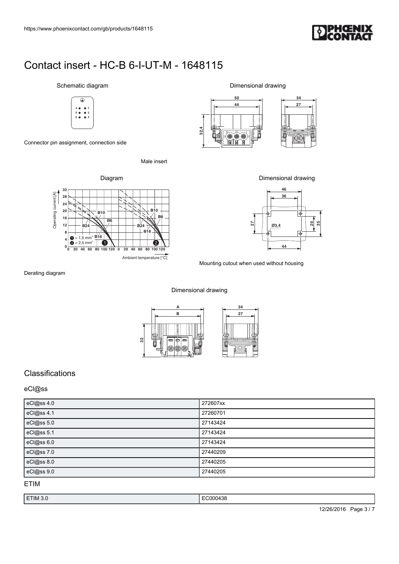

## Schematic diagram



Connector pin assignment, connection side

Male insert



Dimensional drawing



Dimensional drawing



Mounting cutout when used without housing

Derating diagram

#### Dimensional drawing



# **Classifications**

#### eCl@ss

| eCl@ss 4.0 | 272607xx |
|------------|----------|
| eCl@ss 4.1 | 27260701 |
| eCl@ss 5.0 | 27143424 |
| eCl@ss 5.1 | 27143424 |
| eCl@ss 6.0 | 27143424 |
| eCl@ss 7.0 | 27440209 |
| eCl@ss 8.0 | 27440205 |
| eCl@ss 9.0 | 27440205 |

### ETIM

| ETIM 3.0 | $\cdot$<br>ി∩∩പ<br>00438<br>. |
|----------|-------------------------------|
|          |                               |

12/26/2016 Page 3 / 7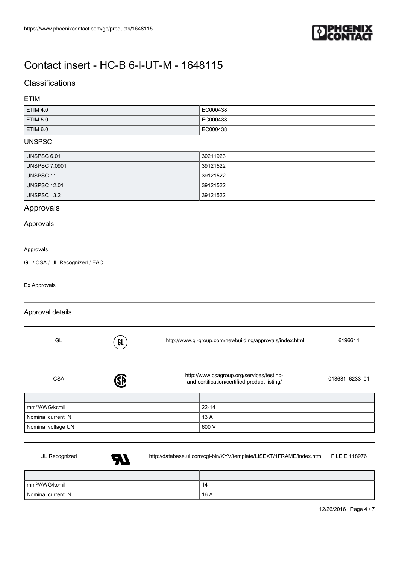

# Classifications

### ETIM

| ETIM 4.0        | EC000438 |
|-----------------|----------|
| <b>ETIM 5.0</b> | EC000438 |
| ETIM 6.0        | EC000438 |

#### UNSPSC

| UNSPSC 6.01          | 30211923 |
|----------------------|----------|
| <b>UNSPSC 7.0901</b> | 39121522 |
| UNSPSC 11            | 39121522 |
| <b>UNSPSC 12.01</b>  | 39121522 |
| UNSPSC 13.2          | 39121522 |

# Approvals

#### Approvals

#### Approvals

GL / CSA / UL Recognized / EAC

Ex Approvals

### Approval details

| GL                         | GL | http://www.gl-group.com/newbuilding/approvals/index.html                                  | 6196614        |
|----------------------------|----|-------------------------------------------------------------------------------------------|----------------|
| <b>CSA</b>                 | ŜĐ | http://www.csagroup.org/services/testing-<br>and-certification/certified-product-listing/ | 013631 6233 01 |
|                            |    |                                                                                           |                |
| mm <sup>2</sup> /AWG/kcmil |    | $22 - 14$                                                                                 |                |
| Nominal current IN         |    | 13 A                                                                                      |                |
| Nominal voltage UN         |    | 600 V                                                                                     |                |

| UL Recognized              | <b>AT</b> | http://database.ul.com/cgi-bin/XYV/template/LISEXT/1FRAME/index.htm |      | FILE E 118976 |
|----------------------------|-----------|---------------------------------------------------------------------|------|---------------|
|                            |           |                                                                     |      |               |
| mm <sup>2</sup> /AWG/kcmil |           |                                                                     | 14   |               |
| Nominal current IN         |           |                                                                     | 16 A |               |

12/26/2016 Page 4 / 7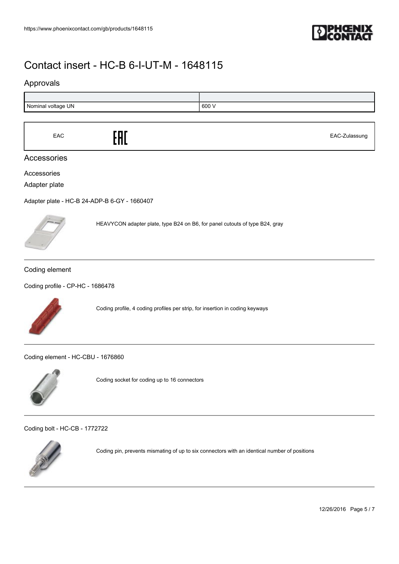

## Approvals



| EAC | .<br>LIIL. | EAC-Zulassung |
|-----|------------|---------------|
|-----|------------|---------------|

### Accessories

Accessories

Adapter plate

[Adapter plate - HC-B 24-ADP-B 6-GY - 1660407](https://www.phoenixcontact.com/gb/products/1660407)



HEAVYCON adapter plate, type B24 on B6, for panel cutouts of type B24, gray

#### Coding element

[Coding profile - CP-HC - 1686478](https://www.phoenixcontact.com/gb/products/1686478)



Coding profile, 4 coding profiles per strip, for insertion in coding keyways

[Coding element - HC-CBU - 1676860](https://www.phoenixcontact.com/gb/products/1676860)



Coding socket for coding up to 16 connectors

[Coding bolt - HC-CB - 1772722](https://www.phoenixcontact.com/gb/products/1772722)



Coding pin, prevents mismating of up to six connectors with an identical number of positions

12/26/2016 Page 5 / 7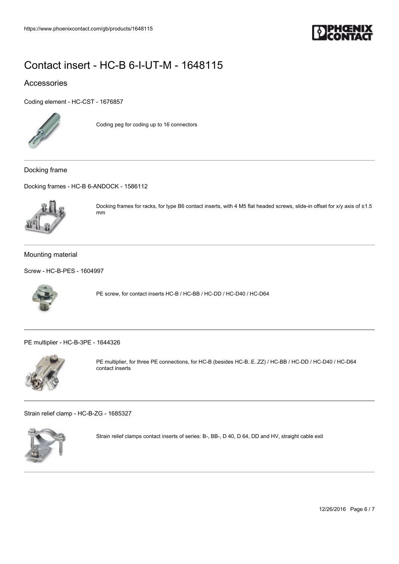

## Accessories

[Coding element - HC-CST - 1676857](https://www.phoenixcontact.com/gb/products/1676857)



Coding peg for coding up to 16 connectors

Docking frame

[Docking frames - HC-B 6-ANDOCK - 1586112](https://www.phoenixcontact.com/gb/products/1586112)



Docking frames for racks, for type B6 contact inserts, with 4 M5 flat headed screws, slide-in offset for x/y axis of ±1.5 mm

#### Mounting material

[Screw - HC-B-PES - 1604997](https://www.phoenixcontact.com/gb/products/1604997)



PE screw, for contact inserts HC-B / HC-BB / HC-DD / HC-D40 / HC-D64

[PE multiplier - HC-B-3PE - 1644326](https://www.phoenixcontact.com/gb/products/1644326)



PE multiplier, for three PE connections, for HC-B (besides HC-B..E..ZZ) / HC-BB / HC-DD / HC-D40 / HC-D64 contact inserts

[Strain relief clamp - HC-B-ZG - 1685327](https://www.phoenixcontact.com/gb/products/1685327)



Strain relief clamps contact inserts of series: B-, BB-, D 40, D 64, DD and HV, straight cable exit

12/26/2016 Page 6 / 7